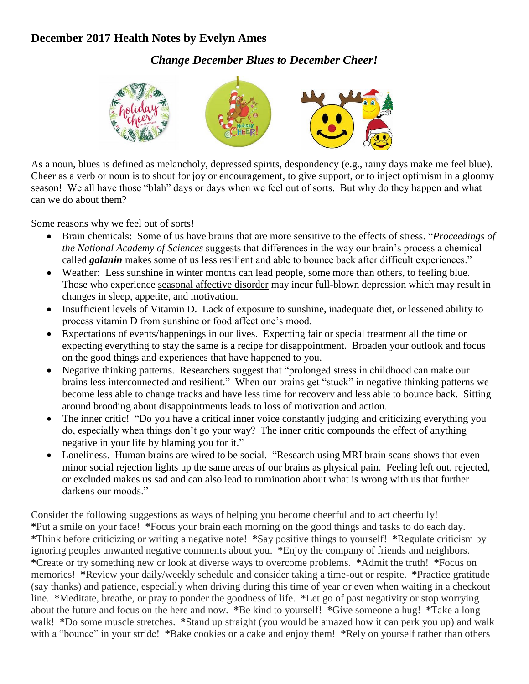## **December 2017 Health Notes by Evelyn Ames**

*Change December Blues to December Cheer!*



As a noun, blues is defined as melancholy, depressed spirits, despondency (e.g., rainy days make me feel blue). Cheer as a verb or noun is to shout for joy or encouragement, to give support, or to inject optimism in a gloomy season! We all have those "blah" days or days when we feel out of sorts. But why do they happen and what can we do about them?

Some reasons why we feel out of sorts!

- Brain chemicals: Some of us have brains that are more sensitive to the effects of [stress.](https://www.psychologytoday.com/basics/stress) "*[Proceedings of](http://www.pnas.org/content/111/16/E1666.full.pdf+html)  [the National Academy of Sciences](http://www.pnas.org/content/111/16/E1666.full.pdf+html)* suggests that differences in the way our brain's process a chemical called *galanin* makes some of us less [resilient](https://www.psychologytoday.com/basics/resilience) and able to bounce back after difficult experiences."
- Weather: Less sunshine in winter months can lead people, some more than others, to feeling blue. Those who experience seasonal affective disorder may incur full-blown depression which may result in changes in sleep, appetite, and motivation.
- Insufficient levels of Vitamin D. Lack of exposure to sunshine, inadequate diet, or lessened ability to process vitamin D from sunshine or food affect one's mood.
- Expectations of events/happenings in our lives. Expecting fair or special treatment all the time or expecting everything to stay the same is a recipe for disappointment. Broaden your outlook and focus on the good things and experiences that have happened to you.
- Negative thinking patterns. Researchers suggest that "prolonged stress in childhood can make our brains less interconnected and resilient." When our brains get "stuck" in [negative thinking](https://www.psychologytoday.com/basics/pessimism) patterns we become less able to change tracks and have less time for recovery and less able to bounce back. Sitting around brooding about disappointments leads to loss of motivation and action.
- The inner critic! "Do you have a critical inner voice constantly judging and criticizing everything you do, especially when things don't go your way? The inner critic compounds the effect of anything negative in your life by blaming you for it."
- Loneliness. Human brains are wired to be social. "Research using MRI brain scans shows that even minor social rejection lights up the same areas of our brains as physical pain. Feeling left out, rejected, or excluded makes us sad and can also lead to rumination about what is wrong with us that further darkens our moods."

Consider the following suggestions as ways of helping you become cheerful and to act cheerfully! **\***Put a smile on your face! **\***Focus your brain each morning on the good things and tasks to do each day. **\***Think before criticizing or writing a negative note! **\***Say positive things to yourself! **\***Regulate criticism by ignoring peoples unwanted negative comments about you. **\***Enjoy the company of friends and neighbors. **\***Create or try something new or look at diverse ways to overcome problems. **\***Admit the truth! **\***Focus on memories! **\***Review your daily/weekly schedule and consider taking a time-out or respite. **\***Practice gratitude (say thanks) and patience, especially when driving during this time of year or even when waiting in a checkout line. **\***Meditate, breathe, or pray to ponder the goodness of life. **\***Let go of past negativity or stop worrying about the future and focus on the here and now. **\***Be kind to yourself! **\***Give someone a hug! **\***Take a long walk! **\***Do some muscle stretches. **\***Stand up straight (you would be amazed how it can perk you up) and walk with a "bounce" in your stride! **\***Bake cookies or a cake and enjoy them! **\***Rely on yourself rather than others